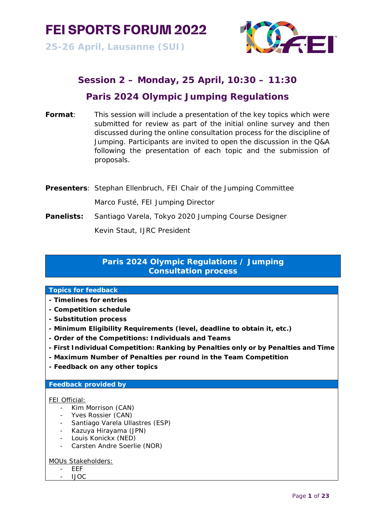

**25-26 April, Lausanne (SUI)**



# **Session 2 – Monday, 25 April, 10:30 – 11:30**

# **Paris 2024 Olympic Jumping Regulations**

- **Format**: This session will include a presentation of the key topics which were submitted for review as part of the initial online survey and then discussed during the online consultation process for the discipline of Jumping. Participants are invited to open the discussion in the Q&A following the presentation of each topic and the submission of proposals.
- **Presenters**: Stephan Ellenbruch, FEI Chair of the Jumping Committee Marco Fusté, FEI Jumping Director
- **Panelists:** Santiago Varela, Tokyo 2020 Jumping Course Designer

Kevin Staut, IJRC President

# **Paris 2024 Olympic Regulations / Jumping Consultation process**

# **Topics for feedback**

- **- Timelines for entries**
- **- Competition schedule**
- **- Substitution process**
- **- Minimum Eligibility Requirements (level, deadline to obtain it, etc.)**
- **- Order of the Competitions: Individuals and Teams**
- **- First Individual Competition: Ranking by Penalties only or by Penalties and Time**
- **- Maximum Number of Penalties per round in the Team Competition**
- **- Feedback on any other topics**

# **Feedback provided by**

### FEI Official:

- Kim Morrison (CAN)
- Yves Rossier (CAN)
- Santiago Varela Ullastres (ESP)
- Kazuya Hirayama (JPN)
- Louis Konickx (NED)
- Carsten Andre Soerlie (NOR)

MOUs Stakeholders:

- EEF
- IJOC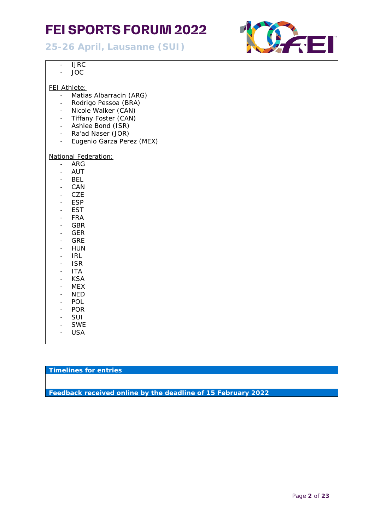**25-26 April, Lausanne (SUI)**



- IJRC
- JOC

## FEI Athlete:

- Matias Albarracin (ARG)
- Rodrigo Pessoa (BRA)
- Nicole Walker (CAN)
- Tiffany Foster (CAN)
- Ashlee Bond (ISR)
- Ra'ad Naser (JOR)
- Eugenio Garza Perez (MEX)

#### National Federation:

- ARG
- AUT
- BEL
- CAN
- CZE
- ESP
- EST
- FRA
- GBR
- GER
- GRE
- HUN
- IRL
- ISR
- ITA
- KSA
- MEX - NED
- POL
- POR
- SUI
- SWE
- USA

# **Timelines for entries**

**Feedback received online by the deadline of 15 February 2022**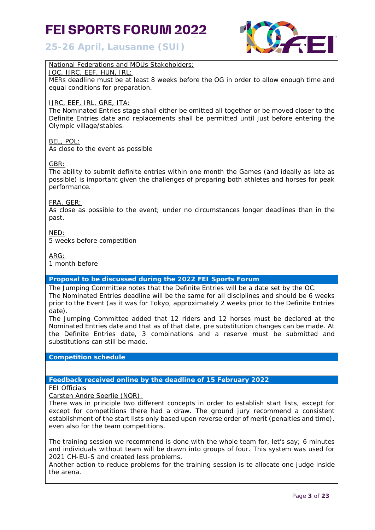**25-26 April, Lausanne (SUI)**



# National Federations and MOUs Stakeholders:

#### JOC, IJRC, EEF, HUN, IRL:

MERs deadline must be at least 8 weeks before the OG in order to allow enough time and equal conditions for preparation.

### IJRC, EEF, IRL, GRE, ITA:

The Nominated Entries stage shall either be omitted all together or be moved closer to the Definite Entries date and replacements shall be permitted until just before entering the Olympic village/stables.

### BEL, POL:

As close to the event as possible

### GBR:

The ability to submit definite entries within one month the Games (and ideally as late as possible) is important given the challenges of preparing both athletes and horses for peak performance.

#### FRA, GER:

As close as possible to the event; under no circumstances longer deadlines than in the past.

NED: 5 weeks before competition

ARG:

1 month before

# **Proposal to be discussed during the 2022 FEI Sports Forum**

The Jumping Committee notes that the Definite Entries will be a date set by the OC. The Nominated Entries deadline will be the same for all disciplines and should be 6 weeks prior to the Event (as it was for Tokyo, approximately 2 weeks prior to the Definite Entries date).

The Jumping Committee added that 12 riders and 12 horses must be declared at the Nominated Entries date and that as of that date, pre substitution changes can be made. At the Definite Entries date, 3 combinations and a reserve must be submitted and substitutions can still be made.

**Competition schedule**

### **Feedback received online by the deadline of 15 February 2022**

FEI Officials

Carsten Andre Soerlie (NOR):

There was in principle two different concepts in order to establish start lists, except for except for competitions there had a draw. The ground jury recommend a consistent establishment of the start lists only based upon reverse order of merit (penalties and time), even also for the team competitions.

The training session we recommend is done with the whole team for, let's say; 6 minutes and individuals without team will be drawn into groups of four. This system was used for 2021 CH-EU-S and created less problems.

Another action to reduce problems for the training session is to allocate one judge inside the arena.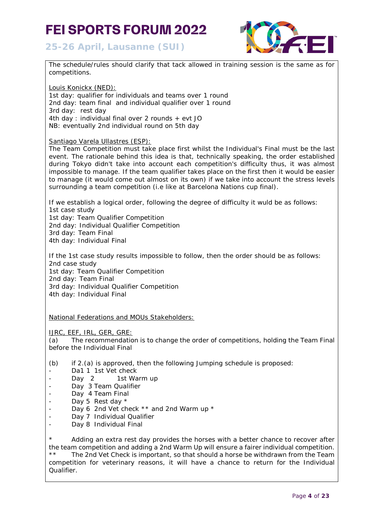**25-26 April, Lausanne (SUI)**



| The schedule/rules should clarify that tack allowed in training session is the same as for<br>competitions.                                                                                                                                                                                                                                                                                                                                                                                                                                                  |
|--------------------------------------------------------------------------------------------------------------------------------------------------------------------------------------------------------------------------------------------------------------------------------------------------------------------------------------------------------------------------------------------------------------------------------------------------------------------------------------------------------------------------------------------------------------|
| <u> Louis Konickx (NED):</u>                                                                                                                                                                                                                                                                                                                                                                                                                                                                                                                                 |
| 1st day: qualifier for individuals and teams over 1 round                                                                                                                                                                                                                                                                                                                                                                                                                                                                                                    |
| 2nd day: team final and individual qualifier over 1 round                                                                                                                                                                                                                                                                                                                                                                                                                                                                                                    |
| 3rd day: rest day                                                                                                                                                                                                                                                                                                                                                                                                                                                                                                                                            |
| 4th day: individual final over 2 rounds + evt JO                                                                                                                                                                                                                                                                                                                                                                                                                                                                                                             |
| NB: eventually 2nd individual round on 5th day                                                                                                                                                                                                                                                                                                                                                                                                                                                                                                               |
| <b>Santiago Varela Ullastres (ESP):</b>                                                                                                                                                                                                                                                                                                                                                                                                                                                                                                                      |
| The Team Competition must take place first whilst the Individual's Final must be the last<br>event. The rationale behind this idea is that, technically speaking, the order established<br>during Tokyo didn't take into account each competition's difficulty thus, it was almost<br>impossible to manage. If the team qualifier takes place on the first then it would be easier<br>to manage (it would come out almost on its own) if we take into account the stress levels<br>surrounding a team competition (i.e like at Barcelona Nations cup final). |
| If we establish a logical order, following the degree of difficulty it wuld be as follows:                                                                                                                                                                                                                                                                                                                                                                                                                                                                   |
| 1st case study                                                                                                                                                                                                                                                                                                                                                                                                                                                                                                                                               |
| 1st day: Team Qualifier Competition                                                                                                                                                                                                                                                                                                                                                                                                                                                                                                                          |
| 2nd day: Individual Qualifier Competition                                                                                                                                                                                                                                                                                                                                                                                                                                                                                                                    |
| 3rd day: Team Final                                                                                                                                                                                                                                                                                                                                                                                                                                                                                                                                          |
| 4th day: Individual Final                                                                                                                                                                                                                                                                                                                                                                                                                                                                                                                                    |
| If the 1st case study results impossible to follow, then the order should be as follows:                                                                                                                                                                                                                                                                                                                                                                                                                                                                     |
| 2nd case study                                                                                                                                                                                                                                                                                                                                                                                                                                                                                                                                               |
| 1st day: Team Qualifier Competition                                                                                                                                                                                                                                                                                                                                                                                                                                                                                                                          |
| 2nd day: Team Final                                                                                                                                                                                                                                                                                                                                                                                                                                                                                                                                          |
| 3rd day: Individual Qualifier Competition                                                                                                                                                                                                                                                                                                                                                                                                                                                                                                                    |
| 4th day: Individual Final                                                                                                                                                                                                                                                                                                                                                                                                                                                                                                                                    |
| National Federations and MOUs Stakeholders:                                                                                                                                                                                                                                                                                                                                                                                                                                                                                                                  |
| <u>IJRC, EEF, IRL, GER, GRE:</u>                                                                                                                                                                                                                                                                                                                                                                                                                                                                                                                             |
| The recommendation is to change the order of competitions, holding the Team Final<br>(a)                                                                                                                                                                                                                                                                                                                                                                                                                                                                     |
| before the Individual Final                                                                                                                                                                                                                                                                                                                                                                                                                                                                                                                                  |
| (b)<br>if 2.(a) is approved, then the following Jumping schedule is proposed:                                                                                                                                                                                                                                                                                                                                                                                                                                                                                |
| Da1 1 1st Vet check                                                                                                                                                                                                                                                                                                                                                                                                                                                                                                                                          |
| Day 2<br>1st Warm up                                                                                                                                                                                                                                                                                                                                                                                                                                                                                                                                         |
| Day 3 Team Qualifier                                                                                                                                                                                                                                                                                                                                                                                                                                                                                                                                         |
| Day 4 Team Final<br>-                                                                                                                                                                                                                                                                                                                                                                                                                                                                                                                                        |
| Day 5 Rest day *                                                                                                                                                                                                                                                                                                                                                                                                                                                                                                                                             |
| Day 6 2nd Vet check ** and 2nd Warm up *                                                                                                                                                                                                                                                                                                                                                                                                                                                                                                                     |
| Day 7 Individual Qualifier                                                                                                                                                                                                                                                                                                                                                                                                                                                                                                                                   |

- Day 8 Individual Final

\* Adding an extra rest day provides the horses with a better chance to recover after the team competition and adding a 2nd Warm Up will ensure a fairer individual competition. \*\* The 2nd Vet Check is important, so that should a horse be withdrawn from the Team competition for veterinary reasons, it will have a chance to return for the Individual Qualifier.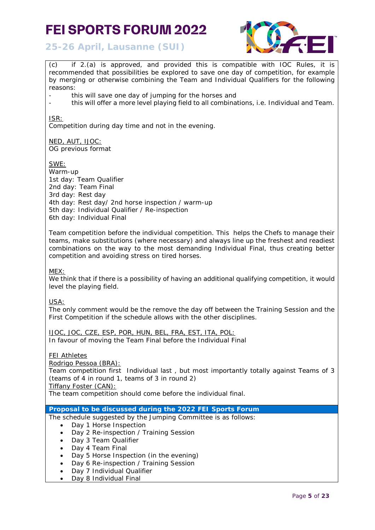

**25-26 April, Lausanne (SUI)**

(c) if 2.(a) is approved, and provided this is compatible with IOC Rules, it is recommended that possibilities be explored to save one day of competition, for example by merging or otherwise combining the Team and Individual Qualifiers for the following reasons:

- this will save one day of jumping for the horses and
- this will offer a more level playing field to all combinations, i.e. Individual and Team.

ISR:

Competition during day time and not in the evening.

NED, AUT, IJOC: OG previous format

SWE:

Warm-up 1st day: Team Qualifier 2nd day: Team Final 3rd day: Rest day 4th day: Rest day/ 2nd horse inspection / warm-up 5th day: Individual Qualifier / Re-inspection 6th day: Individual Final

Team competition before the individual competition. This helps the Chefs to manage their teams, make substitutions (where necessary) and always line up the freshest and readiest combinations on the way to the most demanding Individual Final, thus creating better competition and avoiding stress on tired horses.

MEX:

We think that if there is a possibility of having an additional qualifying competition, it would level the playing field.

USA:

The only comment would be the remove the day off between the Training Session and the First Competition if the schedule allows with the other disciplines.

*IJOC, JOC, CZE, ESP, POR, HUN, BEL, FRA, EST, ITA, POL: In favour of moving the Team Final before the Individual Final*

FEI Athletes

Rodrigo Pessoa (BRA):

*Team competition first Individual last ,* but most importantly totally against Teams of 3 (teams of 4 in round 1, teams of 3 in round 2)

*Tiffany Foster (CAN):* 

*The team competition should come before the individual final.*

**Proposal to be discussed during the 2022 FEI Sports Forum**

- The schedule suggested by the Jumping Committee is as follows:
	- Day 1 Horse Inspection
	- Day 2 Re-inspection / Training Session
	- Day 3 Team Qualifier
	- Day 4 Team Final
	- Day 5 Horse Inspection (in the evening)
	- Day 6 Re-inspection / Training Session
	- Day 7 Individual Qualifier
	- Day 8 Individual Final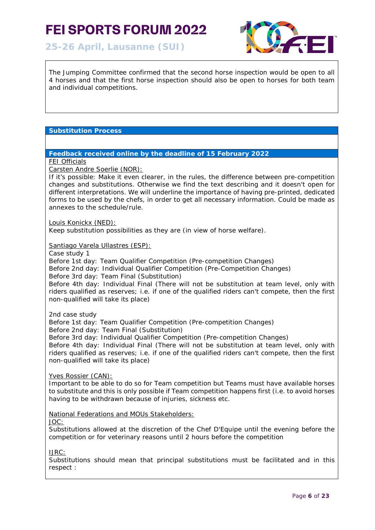**25-26 April, Lausanne (SUI)**



The Jumping Committee confirmed that the second horse inspection would be open to all 4 horses and that the first horse inspection should also be open to horses for both team and individual competitions.

# **Substitution Process**

#### **Feedback received online by the deadline of 15 February 2022**

**FEI Officials** 

Carsten Andre Soerlie (NOR):

If it's possible: Make it even clearer, in the rules, the difference between pre-competition changes and substitutions. Otherwise we find the text describing and it doesn't open for different interpretations. We will underline the importance of having pre-printed, dedicated forms to be used by the chefs, in order to get all necessary information. Could be made as annexes to the schedule/rule.

Louis Konickx (NED):

Keep substitution possibilities as they are (in view of horse welfare).

Santiago Varela Ullastres (ESP):

Case study 1

Before 1st day: Team Qualifier Competition (Pre-competition Changes) Before 2nd day: Individual Qualifier Competition (Pre-Competition Changes) Before 3rd day: Team Final (Substitution) Before 4th day: Individual Final (There will not be substitution at team level, only with riders qualified as reserves; i.e. if one of the qualified riders can't compete, then the first non-qualified will take its place)

2nd case study

Before 1st day: Team Qualifier Competition (Pre-competition Changes) Before 2nd day: Team Final (Substitution)

Before 3rd day: Individual Qualifier Competition (Pre-competition Changes)

Before 4th day: Individual Final (There will not be substitution at team level, only with riders qualified as reserves; i.e. if one of the qualified riders can't compete, then the first non-qualified will take its place)

Yves Rossier (CAN):

Important to be able to do so for Team competition but Teams must have available horses to substitute and this is only possible if Team competition happens first (i.e. to avoid horses having to be withdrawn because of injuries, sickness etc.

National Federations and MOUs Stakeholders:

JOC:

Substitutions allowed at the discretion of the Chef D'Equipe until the evening before the competition or for veterinary reasons until 2 hours before the competition

IJRC:

Substitutions should mean that principal substitutions must be facilitated and in this respect :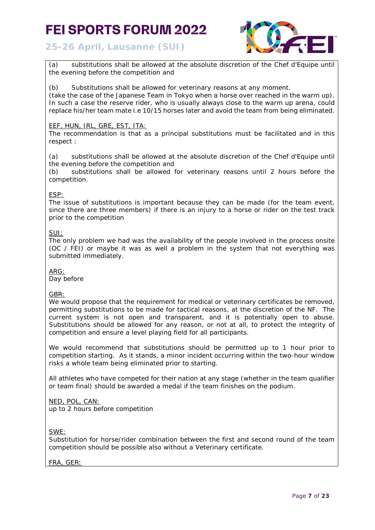

**25-26 April, Lausanne (SUI)**

(a) substitutions shall be allowed at the absolute discretion of the Chef d'Equipe until the evening before the competition and

(b) Substitutions shall be allowed for veterinary reasons at any moment.

(take the case of the Japanese Team in Tokyo when a horse over reached in the warm up). In such a case the reserve rider, who is usually always close to the warm up arena, could replace his/her team mate i.e 10/15 horses later and avoid the team from being eliminated.

## EEF, HUN, IRL, GRE, EST, ITA:

The recommendation is that as a principal substitutions must be facilitated and in this respect :

(a) substitutions shall be allowed at the absolute discretion of the Chef d'Equipe until the evening before the competition and

(b) substitutions shall be allowed for veterinary reasons until 2 hours before the competition.

### ESP:

The issue of substitutions is important because they can be made (for the team event, since there are three members) if there is an injury to a horse or rider on the test track prior to the competition

### SUI:

The only problem we had was the availability of the people involved in the process onsite (OC / FEI) or maybe it was as well a problem in the system that not everything was submitted immediately.

ARG:

Day before

### GBR:

We would propose that the requirement for medical or veterinary certificates be removed, permitting substitutions to be made for tactical reasons, at the discretion of the NF. The current system is not open and transparent, and it is potentially open to abuse. Substitutions should be allowed for any reason, or not at all, to protect the integrity of competition and ensure a level playing field for all participants.

We would recommend that substitutions should be permitted up to 1 hour prior to competition starting. As it stands, a minor incident occurring within the two-hour window risks a whole team being eliminated prior to starting.

All athletes who have competed for their nation at any stage (whether in the team qualifier or team final) should be awarded a medal if the team finishes on the podium.

## NED, POL, CAN:

up to 2 hours before competition

SWE:

Substitution for horse/rider combination between the first and second round of the team competition should be possible also without a Veterinary certificate.

### FRA, GER: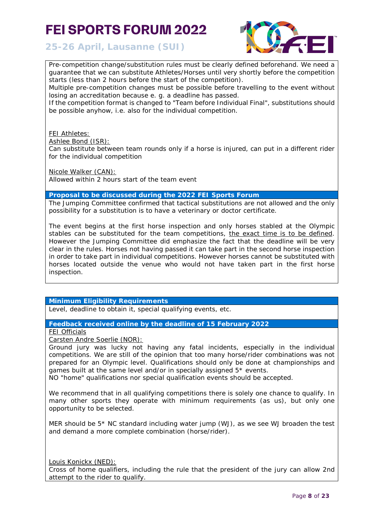

**25-26 April, Lausanne (SUI)**

Pre-competition change/substitution rules must be clearly defined beforehand. We need a guarantee that we can substitute Athletes/Horses until very shortly before the competition starts (less than 2 hours before the start of the competition).

Multiple pre-competition changes must be possible before travelling to the event without losing an accreditation because e. g. a deadline has passed.

If the competition format is changed to "Team before Individual Final", substitutions should be possible anyhow, i.e. also for the individual competition.

**FEI Athletes:** 

Ashlee Bond (ISR):

Can substitute between team rounds only if a horse is injured, can put in a different rider for the individual competition

Nicole Walker (CAN):

Allowed within 2 hours start of the team event

#### **Proposal to be discussed during the 2022 FEI Sports Forum**

The Jumping Committee confirmed that tactical substitutions are not allowed and the only possibility for a substitution is to have a veterinary or doctor certificate.

The event begins at the first horse inspection and only horses stabled at the Olympic stables can be substituted for the team competitions, the exact time is to be defined. However the Jumping Committee did emphasize the fact that the deadline will be very clear in the rules. Horses not having passed it can take part in the second horse inspection in order to take part in individual competitions. However horses cannot be substituted with horses located outside the venue who would not have taken part in the first horse inspection.

### **Minimum Eligibility Requirements**

Level, deadline to obtain it, special qualifying events, etc.

**Feedback received online by the deadline of 15 February 2022**

FEI Officials

Carsten Andre Soerlie (NOR):

Ground jury was lucky not having any fatal incidents, especially in the individual competitions. We are still of the opinion that too many horse/rider combinations was not prepared for an Olympic level. Qualifications should only be done at championships and games built at the same level and/or in specially assigned 5\* events.

NO "home" qualifications nor special qualification events should be accepted.

We recommend that in all qualifying competitions there is solely one chance to qualify. In many other sports they operate with minimum requirements (as us), but only one opportunity to be selected.

MER should be  $5*$  NC standard including water jump (WJ), as we see WJ broaden the test and demand a more complete combination (horse/rider).

Louis Konickx (NED): Cross of home qualifiers, including the rule that the president of the jury can allow 2nd attempt to the rider to qualify.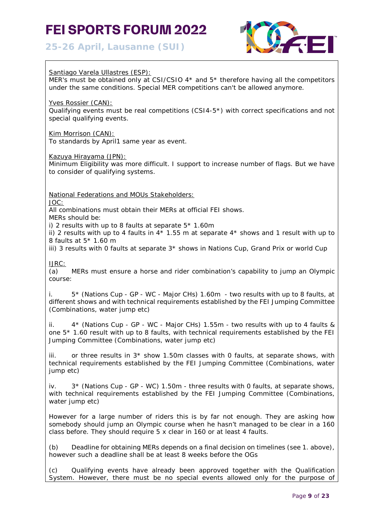# **25-26 April, Lausanne (SUI)**



Santiago Varela Ullastres (ESP): MER's must be obtained only at CSI/CSIO 4\* and 5\* therefore having all the competitors under the same conditions. Special MER competitions can't be allowed anymore. Yves Rossier (CAN): Qualifying events must be real competitions (CSI4-5\*) with correct specifications and not special qualifying events. Kim Morrison (CAN): To standards by April1 same year as event. Kazuya Hirayama (JPN): Minimum Eligibility was more difficult. I support to increase number of flags. But we have to consider of qualifying systems. National Federations and MOUs Stakeholders: JOC: All combinations must obtain their MERs at official FEI shows. MERs should be: i) 2 results with up to 8 faults at separate 5\* 1.60m ii) 2 results with up to 4 faults in  $4*$  1.55 m at separate  $4*$  shows and 1 result with up to 8 faults at 5\* 1.60 m iii) 3 results with 0 faults at separate  $3*$  shows in Nations Cup, Grand Prix or world Cup IJRC: (a) MERs must ensure a horse and rider combination's capability to jump an Olympic course: i. 5\* (Nations Cup - GP - WC - Major CHs) 1.60m - two results with up to 8 faults, at different shows and with technical requirements established by the FEI Jumping Committee (Combinations, water jump etc) ii. 4\* (Nations Cup - GP - WC - Major CHs) 1.55m - two results with up to 4 faults & one 5\* 1.60 result with up to 8 faults, with technical requirements established by the FEI Jumping Committee (Combinations, water jump etc) iii. or three results in  $3*$  show 1.50m classes with 0 faults, at separate shows, with technical requirements established by the FEI Jumping Committee (Combinations, water jump etc) iv. 3\* (Nations Cup - GP - WC) 1.50m - three results with 0 faults, at separate shows, with technical requirements established by the FEI Jumping Committee (Combinations, water jump etc) However for a large number of riders this is by far not enough. They are asking how somebody should jump an Olympic course when he hasn't managed to be clear in a 160 class before. They should require 5 x clear in 160 or at least 4 faults. (b) Deadline for obtaining MERs depends on a final decision on timelines (see 1. above), however such a deadline shall be at least 8 weeks before the OGs (c) Qualifying events have already been approved together with the Qualification System. However, there must be no special events allowed only for the purpose of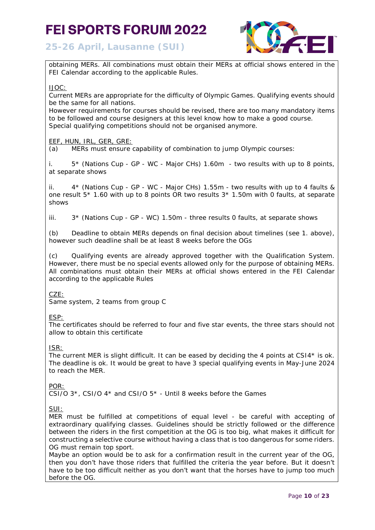



obtaining MERs. All combinations must obtain their MERs at official shows entered in the FEI Calendar according to the applicable Rules.

#### IJOC:

Current MERs are appropriate for the difficulty of Olympic Games. Qualifying events should be the same for all nations.

However requirements for courses should be revised, there are too many mandatory items to be followed and course designers at this level know how to make a good course. Special qualifying competitions should not be organised anymore.

### EEF, HUN, IRL, GER, GRE:

(a) MERs must ensure capability of combination to jump Olympic courses:

i. 5\* (Nations Cup - GP - WC - Major CHs) 1.60m - two results with up to 8 points, at separate shows

ii. 4\* (Nations Cup - GP - WC - Major CHs) 1.55m - two results with up to 4 faults & one result 5\* 1.60 with up to 8 points OR two results 3\* 1.50m with 0 faults, at separate shows

iii.  $3*$  (Nations Cup - GP - WC) 1.50m - three results 0 faults, at separate shows

(b) Deadline to obtain MERs depends on final decision about timelines (see 1. above), however such deadline shall be at least 8 weeks before the OGs

(c) Qualifying events are already approved together with the Qualification System. However, there must be no special events allowed only for the purpose of obtaining MERs. All combinations must obtain their MERs at official shows entered in the FEI Calendar according to the applicable Rules

### CZE:

Same system, 2 teams from group C

# ESP:

The certificates should be referred to four and five star events, the three stars should not allow to obtain this certificate

### ISR:

The current MER is slight difficult. It can be eased by deciding the 4 points at CSI4\* is ok. The deadline is ok. It would be great to have 3 special qualifying events in May-June 2024 to reach the MER.

### POR:

CSI/O  $3*$ , CSI/O  $4*$  and CSI/O  $5*$  - Until 8 weeks before the Games

## SUI:

MER must be fulfilled at competitions of equal level - be careful with accepting of extraordinary qualifying classes. Guidelines should be strictly followed or the difference between the riders in the first competition at the OG is too big, what makes it difficult for constructing a selective course without having a class that is too dangerous for some riders. OG must remain top sport.

Maybe an option would be to ask for a confirmation result in the current year of the OG, then you don't have those riders that fulfilled the criteria the year before. But it doesn't have to be too difficult neither as you don't want that the horses have to jump too much before the OG.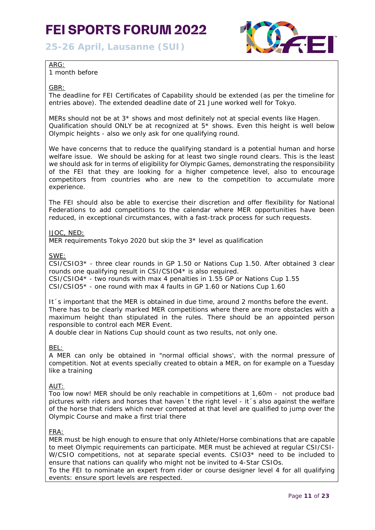**25-26 April, Lausanne (SUI)**



### ARG:

1 month before

#### GBR:

The deadline for FEI Certificates of Capability should be extended (as per the timeline for entries above). The extended deadline date of 21 June worked well for Tokyo.

MERs should not be at 3\* shows and most definitely not at special events like Hagen. Qualification should ONLY be at recognized at  $5*$  shows. Even this height is well below Olympic heights - also we only ask for one qualifying round.

We have concerns that to reduce the qualifying standard is a potential human and horse welfare issue. We should be asking for at least two single round clears. This is the least we should ask for in terms of eligibility for Olympic Games, demonstrating the responsibility of the FEI that they are looking for a higher competence level, also to encourage competitors from countries who are new to the competition to accumulate more experience.

The FEI should also be able to exercise their discretion and offer flexibility for National Federations to add competitions to the calendar where MER opportunities have been reduced, in exceptional circumstances, with a fast-track process for such requests.

#### IJOC, NED:

MER requirements Tokyo 2020 but skip the 3\* level as qualification

SWE:

CSI/CSIO3\* - three clear rounds in GP 1.50 or Nations Cup 1.50. After obtained 3 clear rounds one qualifying result in CSI/CSIO4\* is also required.

CSI/CSIO4\* - two rounds with max 4 penalties in 1.55 GP or Nations Cup 1.55 CSI/CSIO5\* - one round with max 4 faults in GP 1.60 or Nations Cup 1.60

It´s important that the MER is obtained in due time, around 2 months before the event. There has to be clearly marked MER competitions where there are more obstacles with a maximum height than stipulated in the rules. There should be an appointed person responsible to control each MER Event.

A double clear in Nations Cup should count as two results, not only one.

BEL:

A MER can only be obtained in "normal official shows', with the normal pressure of competition. Not at events specially created to obtain a MER, on for example on a Tuesday like a training

### AUT:

Too low now! MER should be only reachable in competitions at 1,60m - not produce bad pictures with riders and horses that haven 't the right level - it 's also against the welfare of the horse that riders which never competed at that level are qualified to jump over the Olympic Course and make a first trial there

### FRA:

MER must be high enough to ensure that only Athlete/Horse combinations that are capable to meet Olympic requirements can participate. MER must be achieved at regular CSI/CSI-W/CSIO competitions, not at separate special events. CSIO3\* need to be included to ensure that nations can qualify who might not be invited to 4-Star CSIOs.

To the FEI to nominate an expert from rider or course designer level 4 for all qualifying events: ensure sport levels are respected.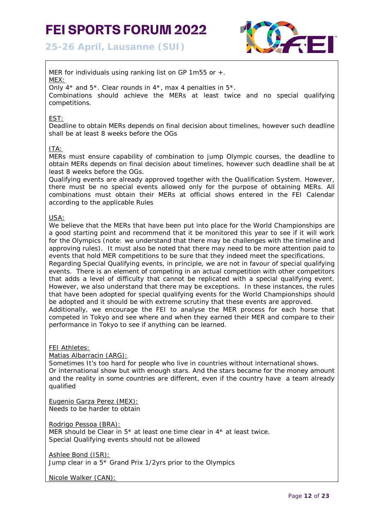**25-26 April, Lausanne (SUI)**



MER for individuals using ranking list on GP 1m55 or +. MEX: Only  $4^*$  and  $5^*$ . Clear rounds in  $4^*$ , max 4 penalties in  $5^*$ . Combinations should achieve the MERs at least twice and no special qualifying competitions.

## EST:

Deadline to obtain MERs depends on final decision about timelines, however such deadline shall be at least 8 weeks before the OGs

## ITA:

MERs must ensure capability of combination to jump Olympic courses, the deadline to obtain MERs depends on final decision about timelines, however such deadline shall be at least 8 weeks before the OGs.

Qualifying events are already approved together with the Qualification System. However, there must be no special events allowed only for the purpose of obtaining MERs. All combinations must obtain their MERs at official shows entered in the FEI Calendar according to the applicable Rules

#### USA:

We believe that the MERs that have been put into place for the World Championships are a good starting point and recommend that it be monitored this year to see if it will work for the Olympics (note: we understand that there may be challenges with the timeline and approving rules). It must also be noted that there may need to be more attention paid to events that hold MER competitions to be sure that they indeed meet the specifications.

Regarding Special Qualifying events, in principle, we are not in favour of special qualifying events. There is an element of competing in an actual competition with other competitors that adds a level of difficulty that cannot be replicated with a special qualifying event. However, we also understand that there may be exceptions. In these instances, the rules that have been adopted for special qualifying events for the World Championships should be adopted and it should be with extreme scrutiny that these events are approved.

Additionally, we encourage the FEI to analyse the MER process for each horse that competed in Tokyo and see where and when they earned their MER and compare to their performance in Tokyo to see if anything can be learned.

FEI Athletes:

Matias Albarracin (ARG):

Sometimes It's too hard for people who live in countries without international shows. Or international show but with enough stars. And the stars became for the money amount and the reality in some countries are different, even if the country have a team already qualified

Eugenio Garza Perez (MEX): Needs to be harder to obtain

Rodrigo Pessoa (BRA):

MER should be Clear in 5\* at least one time clear in 4\* at least twice. Special Qualifying events should not be allowed

Ashlee Bond (ISR): Jump clear in a 5\* Grand Prix 1/2yrs prior to the Olympics

Nicole Walker (CAN):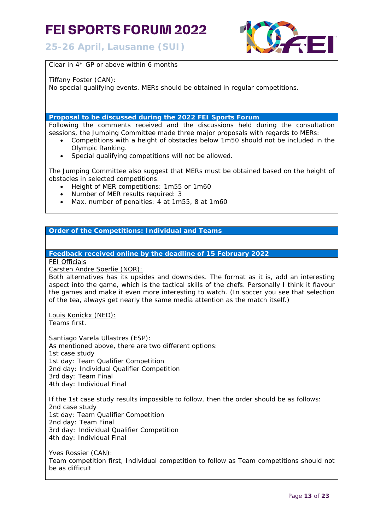**25-26 April, Lausanne (SUI)**



Clear in 4\* GP or above within 6 months

Tiffany Foster (CAN):

No special qualifying events. MERs should be obtained in regular competitions.

**Proposal to be discussed during the 2022 FEI Sports Forum**

Following the comments received and the discussions held during the consultation sessions, the Jumping Committee made three major proposals with regards to MERs:

- Competitions with a height of obstacles below 1m50 should not be included in the Olympic Ranking.
- Special qualifying competitions will not be allowed.

The Jumping Committee also suggest that MERs must be obtained based on the height of obstacles in selected competitions:

- Height of MER competitions: 1m55 or 1m60
- Number of MER results required: 3
- Max. number of penalties: 4 at 1m55, 8 at 1m60

# **Order of the Competitions: Individual and Teams**

**Feedback received online by the deadline of 15 February 2022**

FEI Officials

Carsten Andre Soerlie (NOR):

Both alternatives has its upsides and downsides. The format as it is, add an interesting aspect into the game, which is the tactical skills of the chefs. Personally I think it flavour the games and make it even more interesting to watch. (In soccer you see that selection of the tea, always get nearly the same media attention as the match itself.)

Louis Konickx (NED):

Teams first.

Santiago Varela Ullastres (ESP):

As mentioned above, there are two different options: 1st case study 1st day: Team Qualifier Competition 2nd day: Individual Qualifier Competition 3rd day: Team Final 4th day: Individual Final

If the 1st case study results impossible to follow, then the order should be as follows: 2nd case study 1st day: Team Qualifier Competition 2nd day: Team Final 3rd day: Individual Qualifier Competition 4th day: Individual Final

Yves Rossier (CAN): Team competition first, Individual competition to follow as Team competitions should not be as difficult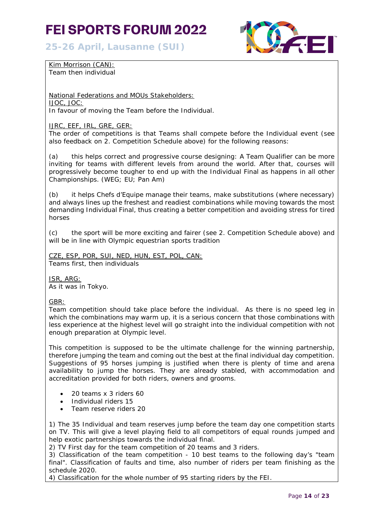**25-26 April, Lausanne (SUI)**



Kim Morrison (CAN): Team then individual

National Federations and MOUs Stakeholders: IJOC, JOC: In favour of moving the Team before the Individual.

IJRC, EEF, IRL, GRE, GER:

The order of competitions is that Teams shall compete before the Individual event (see also feedback on 2. Competition Schedule above) for the following reasons:

(a) this helps correct and progressive course designing: A Team Qualifier can be more inviting for teams with different levels from around the world. After that, courses will progressively become tougher to end up with the Individual Final as happens in all other Championships. (WEG; EU; Pan Am)

(b) it helps Chefs d'Equipe manage their teams, make substitutions (where necessary) and always lines up the freshest and readiest combinations while moving towards the most demanding Individual Final, thus creating a better competition and avoiding stress for tired horses

(c) the sport will be more exciting and fairer (see 2. Competition Schedule above) and will be in line with Olympic equestrian sports tradition

CZE, ESP, POR, SUI, NED, HUN, EST, POL, CAN: Teams first, then individuals

ISR, ARG: As it was in Tokyo.

GBR:

Team competition should take place before the individual. As there is no speed leg in which the combinations may warm up, it is a serious concern that those combinations with less experience at the highest level will go straight into the individual competition with not enough preparation at Olympic level.

This competition is supposed to be the ultimate challenge for the winning partnership, therefore jumping the team and coming out the best at the final individual day competition. Suggestions of 95 horses jumping is justified when there is plenty of time and arena availability to jump the horses. They are already stabled, with accommodation and accreditation provided for both riders, owners and grooms.

- 20 teams x 3 riders 60
- Individual riders 15
- Team reserve riders 20

1) The 35 Individual and team reserves jump before the team day one competition starts on TV. This will give a level playing field to all competitors of equal rounds jumped and help exotic partnerships towards the individual final.

2) TV First day for the team competition of 20 teams and 3 riders.

3) Classification of the team competition - 10 best teams to the following day's "team final". Classification of faults and time, also number of riders per team finishing as the schedule 2020.

4) Classification for the whole number of 95 starting riders by the FEI.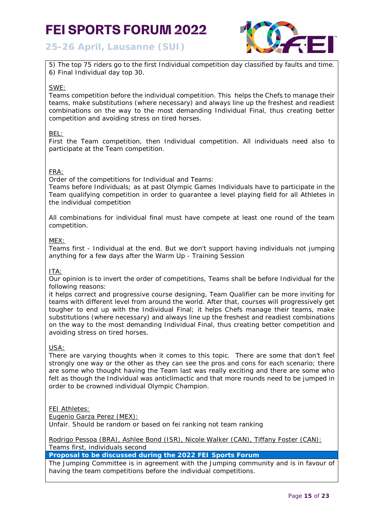# **25-26 April, Lausanne (SUI)**



5) The top 75 riders go to the first Individual competition day classified by faults and time. 6) Final Individual day top 30.

## SWE:

Teams competition before the individual competition. This helps the Chefs to manage their teams, make substitutions (where necessary) and always line up the freshest and readiest combinations on the way to the most demanding Individual Final, thus creating better competition and avoiding stress on tired horses.

BEL:

First the Team competition, then Individual competition. All individuals need also to participate at the Team competition.

# FRA:

Order of the competitions for Individual and Teams:

Teams before Individuals; as at past Olympic Games Individuals have to participate in the Team qualifying competition in order to guarantee a level playing field for all Athletes in the individual competition

All combinations for individual final must have compete at least one round of the team competition.

### MEX:

Teams first - Individual at the end. But we don't support having individuals not jumping anything for a few days after the Warm Up - Training Session

### ITA:

Our opinion is to invert the order of competitions, Teams shall be before Individual for the following reasons:

it helps correct and progressive course designing, Team Qualifier can be more inviting for teams with different level from around the world. After that, courses will progressively get tougher to end up with the Individual Final; it helps Chefs manage their teams, make substitutions (where necessary) and always line up the freshest and readiest combinations on the way to the most demanding Individual Final, thus creating better competition and avoiding stress on tired horses.

# USA:

There are varying thoughts when it comes to this topic. There are some that don't feel strongly one way or the other as they can see the pros and cons for each scenario; there are some who thought having the Team last was really exciting and there are some who felt as though the Individual was anticlimactic and that more rounds need to be jumped in order to be crowned individual Olympic Champion.

### FEI Athletes:

Eugenio Garza Perez (MEX): Unfair. Should be random or based on fei ranking not team ranking

Rodrigo Pessoa (BRA), Ashlee Bond (ISR), Nicole Walker (CAN), Tiffany Foster (CAN): Teams first, individuals second

**Proposal to be discussed during the 2022 FEI Sports Forum**

The Jumping Committee is in agreement with the Jumping community and is in favour of having the team competitions before the individual competitions.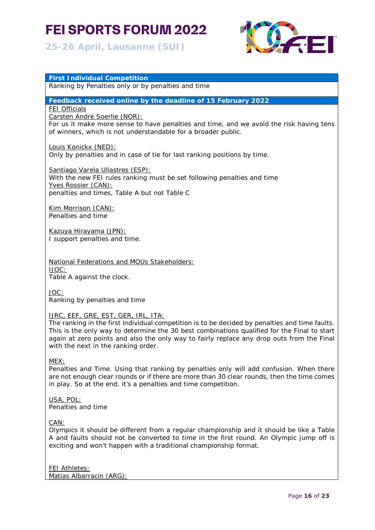# **25-26 April, Lausanne (SUI)**

**First Individual Competition**



# Ranking by Penalties only or by penalties and time **Feedback received online by the deadline of 15 February 2022** FEI Officials Carsten Andre Soerlie (NOR): For us it make more sense to have penalties and time, and we avoid the risk having tens of winners, which is not understandable for a broader public. Louis Konickx (NED): Only by penalties and in case of tie for last ranking positions by time. Santiago Varela Ullastres (ESP): With the new FEI rules ranking must be set following penalties and time Yves Rossier (CAN): penalties and times, Table A but not Table C Kim Morrison (CAN): Penalties and time Kazuya Hirayama (JPN): I support penalties and time.

National Federations and MOUs Stakeholders: IJOC: Table A against the clock.

JOC:

Ranking by penalties and time

### IJRC, EEF, GRE, EST, GER, IRL, ITA:

The ranking in the first individual competition is to be decided by penalties and time faults. This is the only way to determine the 30 best combinations qualified for the Final to start again at zero points and also the only way to fairly replace any drop outs from the Final with the next in the ranking order.

### MEX:

Penalties and Time. Using that ranking by penalties only will add confusion. When there are not enough clear rounds or if there are more than 30 clear rounds, then the time comes in play. So at the end, it's a penalties and time competition.

#### USA, POL: Penalties and time

CAN:

Olympics it should be different from a regular championship and it should be like a Table A and faults should not be converted to time in the first round. An Olympic jump off is exciting and won't happen with a traditional championship format.

# FEI Athletes:

Matias Albarracin (ARG):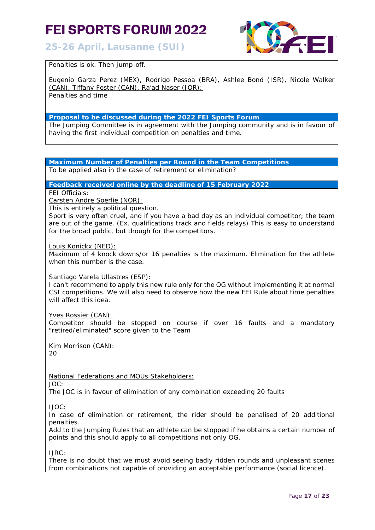# **25-26 April, Lausanne (SUI)**



Penalties is ok. Then jump-off.

Eugenio Garza Perez (MEX), Rodrigo Pessoa (BRA), Ashlee Bond (ISR), Nicole Walker (CAN), Tiffany Foster (CAN), Ra'ad Naser (JOR):

Penalties and time

# **Proposal to be discussed during the 2022 FEI Sports Forum**

The Jumping Committee is in agreement with the Jumping community and is in favour of having the first individual competition on penalties and time.

# **Maximum Number of Penalties per Round in the Team Competitions**

To be applied also in the case of retirement or elimination?

### **Feedback received online by the deadline of 15 February 2022**

FEI Officials:

Carsten Andre Soerlie (NOR):

This is entirely a political question.

Sport is very often cruel, and if you have a bad day as an individual competitor; the team are out of the game. (Ex. qualifications track and fields relays) This is easy to understand for the broad public, but though for the competitors.

#### Louis Konickx (NED):

Maximum of 4 knock downs/or 16 penalties is the maximum. Elimination for the athlete when this number is the case.

### Santiago Varela Ullastres (ESP):

I can't recommend to apply this new rule only for the OG without implementing it at normal CSI competitions. We will also need to observe how the new FEI Rule about time penalties will affect this idea.

#### Yves Rossier (CAN):

Competitor should be stopped on course if over 16 faults and a mandatory "retired/eliminated" score given to the Team

Kim Morrison (CAN):

 $20$ 

National Federations and MOUs Stakeholders:

JOC:

The JOC is in favour of elimination of any combination exceeding 20 faults

IJOC:

In case of elimination or retirement, the rider should be penalised of 20 additional penalties.

Add to the Jumping Rules that an athlete can be stopped if he obtains a certain number of points and this should apply to all competitions not only OG.

IJRC:

There is no doubt that we must avoid seeing badly ridden rounds and unpleasant scenes from combinations not capable of providing an acceptable performance (social licence).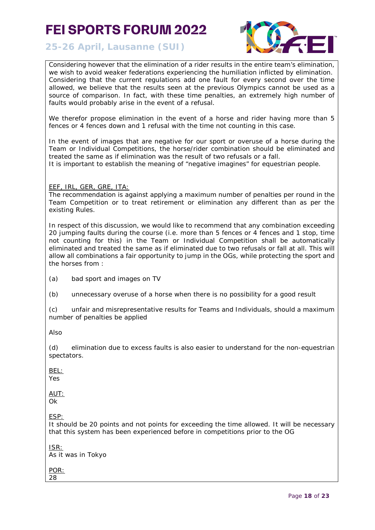**25-26 April, Lausanne (SUI)**



Considering however that the elimination of a rider results in the entire team's elimination, we wish to avoid weaker federations experiencing the humiliation inflicted by elimination. Considering that the current regulations add one fault for every second over the time allowed, we believe that the results seen at the previous Olympics cannot be used as a source of comparison. In fact, with these time penalties, an extremely high number of faults would probably arise in the event of a refusal.

We therefor propose elimination in the event of a horse and rider having more than 5 fences or 4 fences down and 1 refusal with the time not counting in this case.

In the event of images that are negative for our sport or overuse of a horse during the Team or Individual Competitions, the horse/rider combination should be eliminated and treated the same as if elimination was the result of two refusals or a fall.

It is important to establish the meaning of "negative imagines" for equestrian people.

EEF, IRL, GER, GRE, ITA:

The recommendation is against applying a maximum number of penalties per round in the Team Competition or to treat retirement or elimination any different than as per the existing Rules.

In respect of this discussion, we would like to recommend that any combination exceeding 20 jumping faults during the course (i.e. more than 5 fences or 4 fences and 1 stop, time not counting for this) in the Team or Individual Competition shall be automatically eliminated and treated the same as if eliminated due to two refusals or fall at all. This will allow all combinations a fair opportunity to jump in the OGs, while protecting the sport and the horses from :

(a) bad sport and images on TV

(b) unnecessary overuse of a horse when there is no possibility for a good result

(c) unfair and misrepresentative results for Teams and Individuals, should a maximum number of penalties be applied

Also

(d) elimination due to excess faults is also easier to understand for the non-equestrian spectators.

BEL:

Yes

AUT:

Ok

ESP:

It should be 20 points and not points for exceeding the time allowed. It will be necessary that this system has been experienced before in competitions prior to the OG

ISR: As it was in Tokyo

POR: 28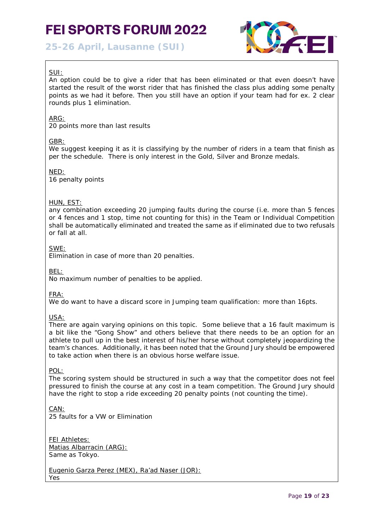**25-26 April, Lausanne (SUI)**



# SUI:

An option could be to give a rider that has been eliminated or that even doesn't have started the result of the worst rider that has finished the class plus adding some penalty points as we had it before. Then you still have an option if your team had for ex. 2 clear rounds plus 1 elimination.

# ARG:

20 points more than last results

# GBR:

We suggest keeping it as it is classifying by the number of riders in a team that finish as per the schedule. There is only interest in the Gold, Silver and Bronze medals.

# NED:

16 penalty points

# HUN, EST:

any combination exceeding 20 jumping faults during the course (i.e. more than 5 fences or 4 fences and 1 stop, time not counting for this) in the Team or Individual Competition shall be automatically eliminated and treated the same as if eliminated due to two refusals or fall at all.

SWE:

Elimination in case of more than 20 penalties.

BEL:

No maximum number of penalties to be applied.

FRA:

We do want to have a discard score in Jumping team qualification: more than 16pts.

USA:

There are again varying opinions on this topic. Some believe that a 16 fault maximum is a bit like the "Gong Show" and others believe that there needs to be an option for an athlete to pull up in the best interest of his/her horse without completely jeopardizing the team's chances. Additionally, it has been noted that the Ground Jury should be empowered to take action when there is an obvious horse welfare issue.

POL:

The scoring system should be structured in such a way that the competitor does not feel pressured to finish the course at any cost in a team competition. The Ground Jury should have the right to stop a ride exceeding 20 penalty points (not counting the time).

CAN: 25 faults for a VW or Elimination

FEI Athletes: Matias Albarracin (ARG): Same as Tokyo.

Eugenio Garza Perez (MEX), Ra'ad Naser (JOR): Yes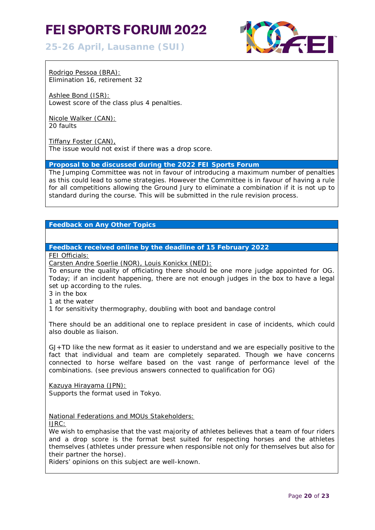**25-26 April, Lausanne (SUI)**



Rodrigo Pessoa (BRA): Elimination 16, retirement 32

Ashlee Bond (ISR): Lowest score of the class plus 4 penalties.

Nicole Walker (CAN): 20 faults

Tiffany Foster (CAN), The issue would not exist if there was a drop score.

**Proposal to be discussed during the 2022 FEI Sports Forum**

The Jumping Committee was not in favour of introducing a maximum number of penalties as this could lead to some strategies. However the Committee is in favour of having a rule for all competitions allowing the Ground Jury to eliminate a combination if it is not up to standard during the course. This will be submitted in the rule revision process.

**Feedback on Any Other Topics**

**Feedback received online by the deadline of 15 February 2022**

FEI Officials:

Carsten Andre Soerlie (NOR), Louis Konickx (NED):

To ensure the quality of officiating there should be one more judge appointed for OG. Today; if an incident happening, there are not enough judges in the box to have a legal set up according to the rules.

3 in the box

1 at the water

1 for sensitivity thermography, doubling with boot and bandage control

There should be an additional one to replace president in case of incidents, which could also double as liaison.

GJ+TD like the new format as it easier to understand and we are especially positive to the fact that individual and team are completely separated. Though we have concerns connected to horse welfare based on the vast range of performance level of the combinations. (see previous answers connected to qualification for OG)

Kazuya Hirayama (JPN): Supports the format used in Tokyo.

National Federations and MOUs Stakeholders:

IJRC:

We wish to emphasise that the vast majority of athletes believes that a team of four riders and a drop score is the format best suited for respecting horses and the athletes themselves (athletes under pressure when responsible not only for themselves but also for their partner the horse).

Riders' opinions on this subject are well-known.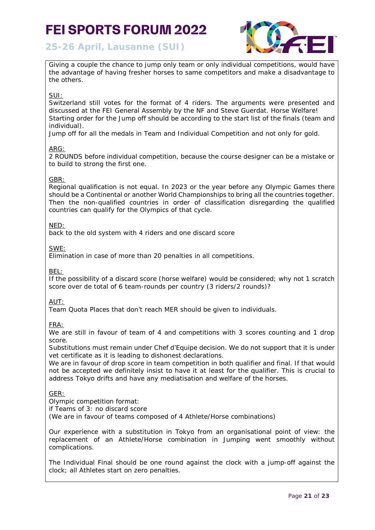

**25-26 April, Lausanne (SUI)**

Giving a couple the chance to jump only team or only individual competitions, would have the advantage of having fresher horses to same competitors and make a disadvantage to the others.

# SUI:

Switzerland still votes for the format of 4 riders. The arguments were presented and discussed at the FEI General Assembly by the NF and Steve Guerdat. Horse Welfare! Starting order for the Jump off should be according to the start list of the finals (team and individual).

Jump off for all the medals in Team and Individual Competition and not only for gold.

# ARG:

2 ROUNDS before individual competition, because the course designer can be a mistake or to build to strong the first one.

### GBR:

Regional qualification is not equal. In 2023 or the year before any Olympic Games there should be a Continental or another World Championships to bring all the countries together. Then the non-qualified countries in order of classification disregarding the qualified countries can qualify for the Olympics of that cycle.

# NED:

back to the old system with 4 riders and one discard score

SWE:

Elimination in case of more than 20 penalties in all competitions.

BEL:

If the possibility of a discard score (horse welfare) would be considered; why not 1 scratch score over de total of 6 team-rounds per country (3 riders/2 rounds)?

### AUT:

Team Quota Places that don't reach MER should be given to individuals.

FRA:

We are still in favour of team of 4 and competitions with 3 scores counting and 1 drop score.

Substitutions must remain under Chef d'Equipe decision. We do not support that it is under vet certificate as it is leading to dishonest declarations.

We are in favour of drop score in team competition in both qualifier and final. If that would not be accepted we definitely insist to have it at least for the qualifier. This is crucial to address Tokyo drifts and have any mediatisation and welfare of the horses.

### GER:

Olympic competition format:

if Teams of 3: no discard score

(We are in favour of teams composed of 4 Athlete/Horse combinations)

Our experience with a substitution in Tokyo from an organisational point of view: the replacement of an Athlete/Horse combination in Jumping went smoothly without complications.

The Individual Final should be one round against the clock with a jump-off against the clock; all Athletes start on zero penalties.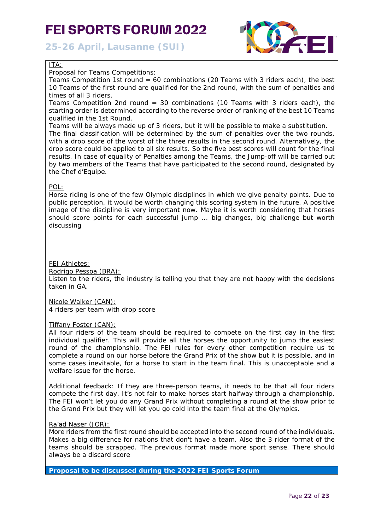**25-26 April, Lausanne (SUI)**



# ITA:

Proposal for Teams Competitions:

Teams Competition 1st round = 60 combinations (20 Teams with 3 riders each), the best 10 Teams of the first round are qualified for the 2nd round, with the sum of penalties and times of all 3 riders.

Teams Competition 2nd round  $=$  30 combinations (10 Teams with 3 riders each), the starting order is determined according to the reverse order of ranking of the best 10 Teams qualified in the 1st Round.

Teams will be always made up of 3 riders, but it will be possible to make a substitution. The final classification will be determined by the sum of penalties over the two rounds, with a drop score of the worst of the three results in the second round. Alternatively, the drop score could be applied to all six results. So the five best scores will count for the final results. In case of equality of Penalties among the Teams, the Jump-off will be carried out by two members of the Teams that have participated to the second round, designated by the Chef d'Equipe.

# POL:

Horse riding is one of the few Olympic disciplines in which we give penalty points. Due to public perception, it would be worth changing this scoring system in the future. A positive image of the discipline is very important now. Maybe it is worth considering that horses should score points for each successful jump ... big changes, big challenge but worth discussing

## FEI Athletes:

### Rodrigo Pessoa (BRA):

Listen to the riders, the industry is telling you that they are not happy with the decisions taken in GA.

Nicole Walker (CAN):

4 riders per team with drop score

### Tiffany Foster (CAN):

All four riders of the team should be required to compete on the first day in the first individual qualifier. This will provide all the horses the opportunity to jump the easiest round of the championship. The FEI rules for every other competition require us to complete a round on our horse before the Grand Prix of the show but it is possible, and in some cases inevitable, for a horse to start in the team final. This is unacceptable and a welfare issue for the horse.

Additional feedback: If they are three-person teams, it needs to be that all four riders compete the first day. It's not fair to make horses start halfway through a championship. The FEI won't let you do any Grand Prix without completing a round at the show prior to the Grand Prix but they will let you go cold into the team final at the Olympics.

### Ra'ad Naser (JOR):

More riders from the first round should be accepted into the second round of the individuals. Makes a big difference for nations that don't have a team. Also the 3 rider format of the teams should be scrapped. The previous format made more sport sense. There should always be a discard score

**Proposal to be discussed during the 2022 FEI Sports Forum**